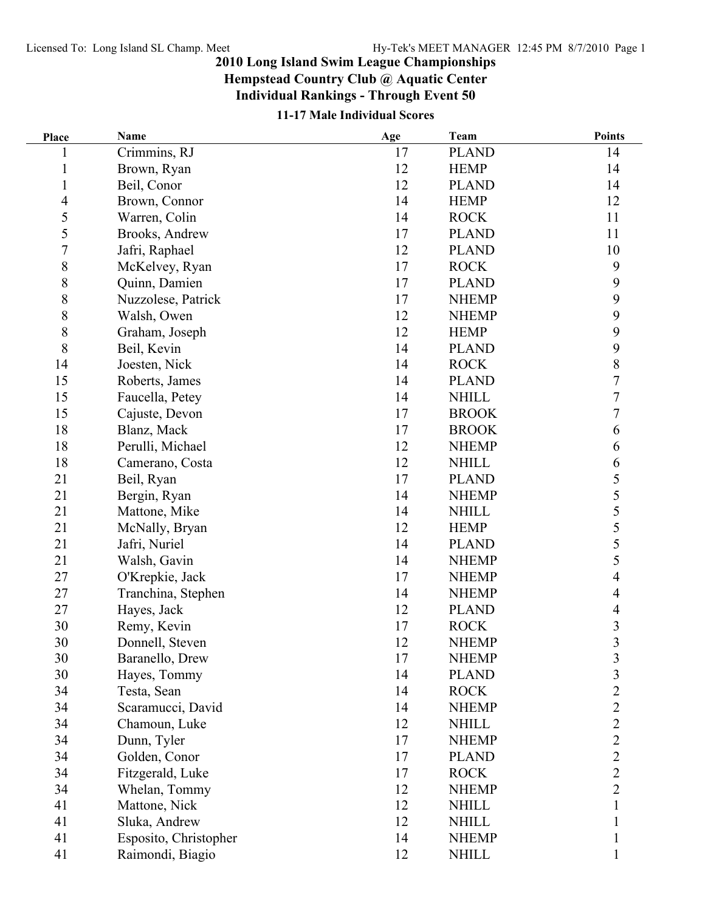## **2010 Long Island Swim League Championships**

**Hempstead Country Club @ Aquatic Center**

**Individual Rankings - Through Event 50**

## **11-17 Male Individual Scores**

| Place          | Name                  | Age | Team         | <b>Points</b>    |
|----------------|-----------------------|-----|--------------|------------------|
|                | Crimmins, RJ          | 17  | <b>PLAND</b> | 14               |
|                | Brown, Ryan           | 12  | <b>HEMP</b>  | 14               |
| $\mathbf{1}$   | Beil, Conor           | 12  | <b>PLAND</b> | 14               |
| 4              | Brown, Connor         | 14  | <b>HEMP</b>  | 12               |
| 5              | Warren, Colin         | 14  | <b>ROCK</b>  | 11               |
| 5              | Brooks, Andrew        | 17  | <b>PLAND</b> | 11               |
| $\overline{7}$ | Jafri, Raphael        | 12  | <b>PLAND</b> | 10               |
| $\,$ $\,$      | McKelvey, Ryan        | 17  | <b>ROCK</b>  | $\boldsymbol{9}$ |
| $\,$ $\,$      | Quinn, Damien         | 17  | <b>PLAND</b> | 9                |
| $\,$ $\,$      | Nuzzolese, Patrick    | 17  | <b>NHEMP</b> | 9                |
| $\,$ $\,$      | Walsh, Owen           | 12  | <b>NHEMP</b> | 9                |
| $\,8\,$        | Graham, Joseph        | 12  | <b>HEMP</b>  | 9                |
| $\,$ $\,$      | Beil, Kevin           | 14  | <b>PLAND</b> | $\mathbf{9}$     |
| 14             | Joesten, Nick         | 14  | <b>ROCK</b>  | 8                |
| 15             | Roberts, James        | 14  | <b>PLAND</b> | $\overline{7}$   |
| 15             | Faucella, Petey       | 14  | <b>NHILL</b> | $\overline{7}$   |
| 15             | Cajuste, Devon        | 17  | <b>BROOK</b> | $\overline{7}$   |
| 18             | Blanz, Mack           | 17  | <b>BROOK</b> | 6                |
| 18             | Perulli, Michael      | 12  | <b>NHEMP</b> | 6                |
| 18             | Camerano, Costa       | 12  | <b>NHILL</b> | 6                |
| 21             | Beil, Ryan            | 17  | <b>PLAND</b> | 5                |
| 21             | Bergin, Ryan          | 14  | <b>NHEMP</b> | 5                |
| 21             | Mattone, Mike         | 14  | <b>NHILL</b> | $rac{5}{5}$      |
| 21             | McNally, Bryan        | 12  | <b>HEMP</b>  |                  |
| 21             | Jafri, Nuriel         | 14  | <b>PLAND</b> | 5                |
| 21             | Walsh, Gavin          | 14  | <b>NHEMP</b> | 5                |
| 27             | O'Krepkie, Jack       | 17  | <b>NHEMP</b> | 4                |
| 27             | Tranchina, Stephen    | 14  | <b>NHEMP</b> | 4                |
| 27             | Hayes, Jack           | 12  | <b>PLAND</b> | 4                |
| 30             | Remy, Kevin           | 17  | <b>ROCK</b>  | 3                |
| 30             | Donnell, Steven       | 12  | <b>NHEMP</b> | $\overline{3}$   |
| 30             | Baranello, Drew       | 17  | <b>NHEMP</b> | $\mathfrak{Z}$   |
| 30             | Hayes, Tommy          | 14  | <b>PLAND</b> | 3                |
| 34             | Testa, Sean           | 14  | <b>ROCK</b>  | $\overline{c}$   |
| 34             | Scaramucci, David     | 14  | <b>NHEMP</b> | $\overline{c}$   |
| 34             | Chamoun, Luke         | 12  | <b>NHILL</b> | $\overline{2}$   |
| 34             | Dunn, Tyler           | 17  | <b>NHEMP</b> | $\overline{2}$   |
| 34             | Golden, Conor         | 17  | <b>PLAND</b> | $\overline{2}$   |
| 34             | Fitzgerald, Luke      | 17  | <b>ROCK</b>  | $\overline{2}$   |
| 34             | Whelan, Tommy         | 12  | <b>NHEMP</b> | $\overline{2}$   |
| 41             | Mattone, Nick         | 12  | <b>NHILL</b> |                  |
| 41             | Sluka, Andrew         | 12  | <b>NHILL</b> |                  |
| 41             | Esposito, Christopher | 14  | <b>NHEMP</b> |                  |
| 41             | Raimondi, Biagio      | 12  | <b>NHILL</b> |                  |